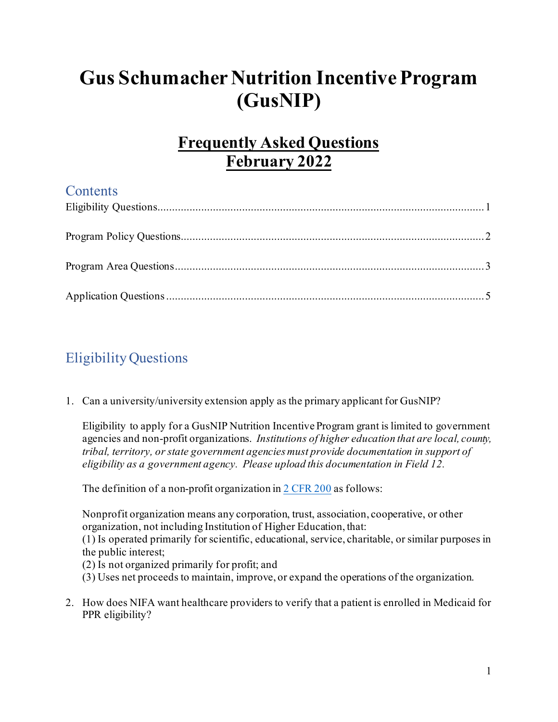# **Gus Schumacher Nutrition Incentive Program (GusNIP)**

# **Frequently Asked Questions February 2022**

### **Contents**

# <span id="page-0-0"></span>Eligibility Questions

1. Can a university/university extension apply as the primary applicant for GusNIP?

Eligibility to apply for a GusNIP Nutrition Incentive Program grant is limited to government agencies and non-profit organizations. *Institutions of higher education that are local, county, tribal, territory, or state government agencies must provide documentation in support of eligibility as a government agency. Please upload this documentation in Field 12.*

The definition of a non-profit organization i[n 2 CFR 200](https://www.ecfr.gov/cgi-bin/text-idx?SID=39448527cdd5ebd0a063b91b8b44f0f5&mc=true&node=pt2.1.200&rgn=div5#se2.1.200_170) as follows:

Nonprofit organization means any corporation, trust, association, cooperative, or other organization, not including Institution of Higher Education, that:

(1) Is operated primarily for scientific, educational, service, charitable, or similar purposes in the public interest;

- (2) Is not organized primarily for profit; and
- (3) Uses net proceeds to maintain, improve, or expand the operations of the organization.
- 2. How does NIFA want healthcare providers to verify that a patient is enrolled in Medicaid for PPR eligibility?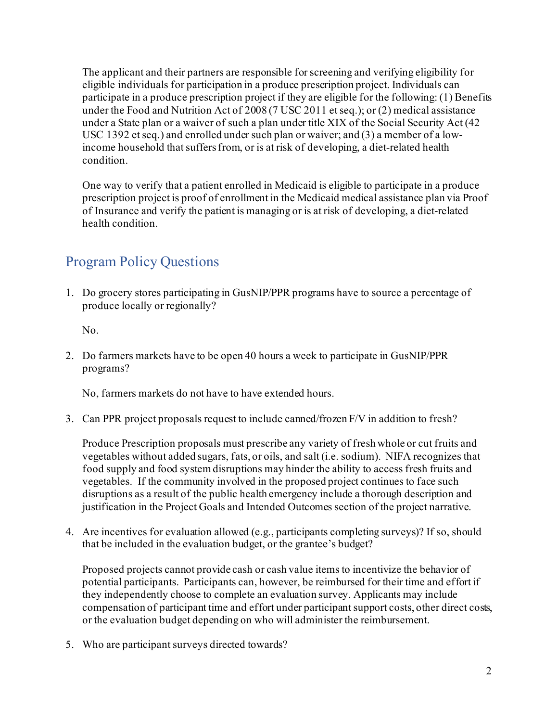The applicant and their partners are responsible for screening and verifying eligibility for eligible individuals for participation in a produce prescription project. Individuals can participate in a produce prescription project if they are eligible for the following: (1) Benefits under the Food and Nutrition Act of 2008 (7 USC 2011 et seq.); or (2) medical assistance under a State plan or a waiver of such a plan under title XIX of the Social Security Act (42 USC 1392 et seq.) and enrolled under such plan or waiver; and (3) a member of a lowincome household that suffers from, or is at risk of developing, a diet-related health condition.

One way to verify that a patient enrolled in Medicaid is eligible to participate in a produce prescription project is proof of enrollment in the Medicaid medical assistance plan via Proof of Insurance and verify the patient is managing or is at risk of developing, a diet-related health condition.

### <span id="page-1-0"></span>Program Policy Questions

1. Do grocery stores participating in GusNIP/PPR programs have to source a percentage of produce locally or regionally?

No.

2. Do farmers markets have to be open 40 hours a week to participate in GusNIP/PPR programs?

No, farmers markets do not have to have extended hours.

3. Can PPR project proposals request to include canned/frozen F/V in addition to fresh?

Produce Prescription proposals must prescribe any variety of fresh whole or cut fruits and vegetables without added sugars, fats, or oils, and salt (i.e. sodium). NIFA recognizes that food supply and food system disruptions may hinder the ability to access fresh fruits and vegetables. If the community involved in the proposed project continues to face such disruptions as a result of the public health emergency include a thorough description and justification in the Project Goals and Intended Outcomes section of the project narrative.

4. Are incentives for evaluation allowed (e.g., participants completing surveys)? If so, should that be included in the evaluation budget, or the grantee's budget?

Proposed projects cannot provide cash or cash value items to incentivize the behavior of potential participants. Participants can, however, be reimbursed for their time and effort if they independently choose to complete an evaluation survey. Applicants may include compensation of participant time and effort under participant support costs, other direct costs, or the evaluation budget depending on who will administer the reimbursement.

5. Who are participant surveys directed towards?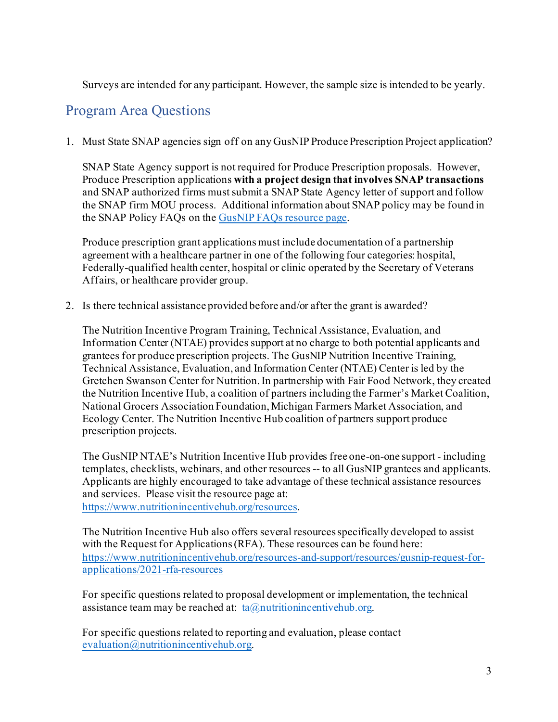Surveys are intended for any participant. However, the sample size is intended to be yearly.

#### <span id="page-2-0"></span>Program Area Questions

1. Must State SNAP agencies sign off on any GusNIP Produce Prescription Project application?

SNAP State Agency support is not required for Produce Prescription proposals. However, Produce Prescription applications **with a project design that involves SNAP transactions** and SNAP authorized firms must submit a SNAP State Agency letter of support and follow the SNAP firm MOU process. Additional information about SNAP policy may be found in the SNAP Policy FAQs on th[e GusNIP FAQs resource page.](https://nifa.usda.gov/resource/gusnip-faqs)

Produce prescription grant applications must include documentation of a partnership agreement with a healthcare partner in one of the following four categories: hospital, Federally-qualified health center, hospital or clinic operated by the Secretary of Veterans Affairs, or healthcare provider group.

2. Is there technical assistance provided before and/or after the grant is awarded?

The Nutrition Incentive Program Training, Technical Assistance, Evaluation, and Information Center (NTAE) provides support at no charge to both potential applicants and grantees for produce prescription projects. The GusNIP Nutrition Incentive Training, Technical Assistance, Evaluation, and Information Center (NTAE) Center is led by the Gretchen Swanson Center for Nutrition. In partnership with Fair Food Network, they created the Nutrition Incentive Hub, a coalition of partners including the Farmer's Market Coalition, National Grocers Association Foundation, Michigan Farmers Market Association, and Ecology Center. The Nutrition Incentive Hub coalition of partners support produce prescription projects.

The GusNIP NTAE's Nutrition Incentive Hub provides free one-on-one support - including templates, checklists, webinars, and other resources -- to all GusNIP grantees and applicants. Applicants are highly encouraged to take advantage of these technical assistance resources and services. Please visit the resource page at:

<https://www.nutritionincentivehub.org/resources>.

The Nutrition Incentive Hub also offers several resources specifically developed to assist with the Request for Applications (RFA). These resources can be found here: [https://www.nutritionincentivehub.org/resources-and-support/resources/gusnip-request-for](https://www.nutritionincentivehub.org/resources-and-support/resources/gusnip-request-for-applications/2021-rfa-resources)[applications/2021-rfa-resources](https://www.nutritionincentivehub.org/resources-and-support/resources/gusnip-request-for-applications/2021-rfa-resources)

For specific questions related to proposal development or implementation, the technical assistance team may be reached at:  $ta@$ , nutritionincentivehub.org.

For specific questions related to reporting and evaluation, please contact [evaluation@nutritionincentivehub.org](mailto:evaluation@nutritionincentivehub.org).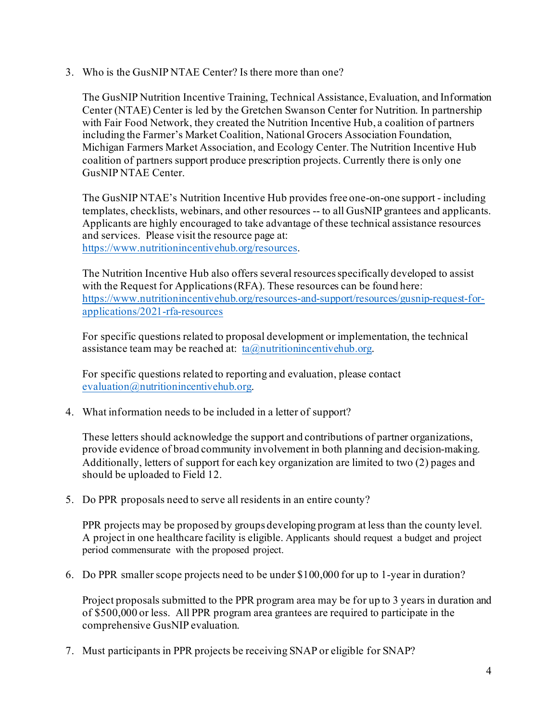3. Who is the GusNIP NTAE Center? Is there more than one?

The GusNIP Nutrition Incentive Training, Technical Assistance, Evaluation, and Information Center (NTAE) Center is led by the Gretchen Swanson Center for Nutrition. In partnership with Fair Food Network, they created the Nutrition Incentive Hub, a coalition of partners including the Farmer's Market Coalition, National Grocers Association Foundation, Michigan Farmers Market Association, and Ecology Center. The Nutrition Incentive Hub coalition of partners support produce prescription projects. Currently there is only one GusNIP NTAE Center.

The GusNIP NTAE's Nutrition Incentive Hub provides free one-on-one support - including templates, checklists, webinars, and other resources -- to all GusNIP grantees and applicants. Applicants are highly encouraged to take advantage of these technical assistance resources and services. Please visit the resource page at: <https://www.nutritionincentivehub.org/resources>.

The Nutrition Incentive Hub also offers several resources specifically developed to assist with the Request for Applications (RFA). These resources can be found here: [https://www.nutritionincentivehub.org/resources-and-support/resources/gusnip-request-for](https://www.nutritionincentivehub.org/resources-and-support/resources/gusnip-request-for-applications/2021-rfa-resources)[applications/2021-rfa-resources](https://www.nutritionincentivehub.org/resources-and-support/resources/gusnip-request-for-applications/2021-rfa-resources)

For specific questions related to proposal development or implementation, the technical assistance team may be reached at:  $ta@$ , nutritionincentivehub.org.

For specific questions related to reporting and evaluation, please contact [evaluation@nutritionincentivehub.org](mailto:evaluation@nutritionincentivehub.org).

4. What information needs to be included in a letter of support?

These letters should acknowledge the support and contributions of partner organizations, provide evidence of broad community involvement in both planning and decision-making. Additionally, letters of support for each key organization are limited to two (2) pages and should be uploaded to Field 12.

5. Do PPR proposals need to serve all residents in an entire county?

PPR projects may be proposed by groups developing program at less than the county level. A project in one healthcare facility is eligible. Applicants should request a budget and project period commensurate with the proposed project.

6. Do PPR smaller scope projects need to be under \$100,000 for up to 1-year in duration?

Project proposals submitted to the PPR program area may be for up to 3 years in duration and of \$500,000 or less. All PPR program area grantees are required to participate in the comprehensive GusNIP evaluation.

7. Must participants in PPR projects be receiving SNAP or eligible for SNAP?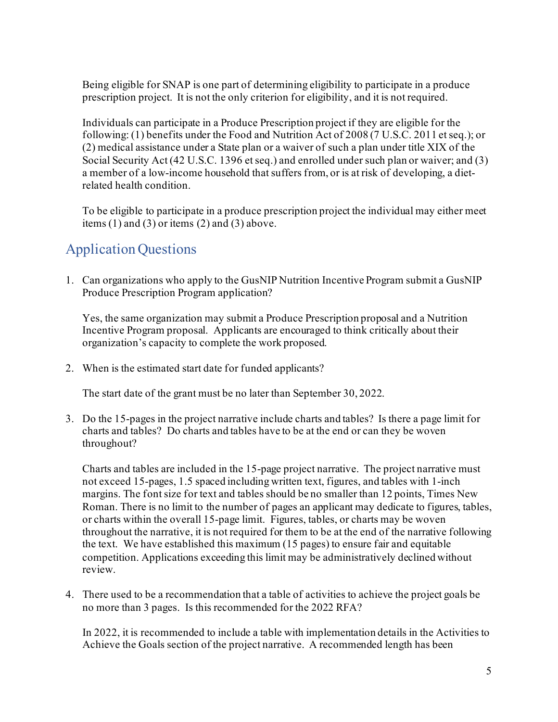Being eligible for SNAP is one part of determining eligibility to participate in a produce prescription project. It is not the only criterion for eligibility, and it is not required.

Individuals can participate in a Produce Prescription project if they are eligible for the following: (1) benefits under the Food and Nutrition Act of 2008 (7 U.S.C. 2011 et seq.); or (2) medical assistance under a State plan or a waiver of such a plan under title XIX of the Social Security Act (42 U.S.C. 1396 et seq.) and enrolled under such plan or waiver; and (3) a member of a low-income household that suffers from, or is at risk of developing, a dietrelated health condition.

To be eligible to participate in a produce prescription project the individual may either meet items  $(1)$  and  $(3)$  or items  $(2)$  and  $(3)$  above.

## <span id="page-4-0"></span>Application Questions

1. Can organizations who apply to the GusNIP Nutrition Incentive Program submit a GusNIP Produce Prescription Program application?

Yes, the same organization may submit a Produce Prescription proposal and a Nutrition Incentive Program proposal. Applicants are encouraged to think critically about their organization's capacity to complete the work proposed.

2. When is the estimated start date for funded applicants?

The start date of the grant must be no later than September 30, 2022.

3. Do the 15-pages in the project narrative include charts and tables? Is there a page limit for charts and tables? Do charts and tables have to be at the end or can they be woven throughout?

Charts and tables are included in the 15-page project narrative. The project narrative must not exceed 15-pages, 1.5 spaced including written text, figures, and tables with 1-inch margins. The font size for text and tables should be no smaller than 12 points, Times New Roman. There is no limit to the number of pages an applicant may dedicate to figures, tables, or charts within the overall 15-page limit. Figures, tables, or charts may be woven throughout the narrative, it is not required for them to be at the end of the narrative following the text. We have established this maximum (15 pages) to ensure fair and equitable competition. Applications exceeding this limit may be administratively declined without review.

4. There used to be a recommendation that a table of activities to achieve the project goals be no more than 3 pages. Is this recommended for the 2022 RFA?

In 2022, it is recommended to include a table with implementation details in the Activities to Achieve the Goals section of the project narrative. A recommended length has been